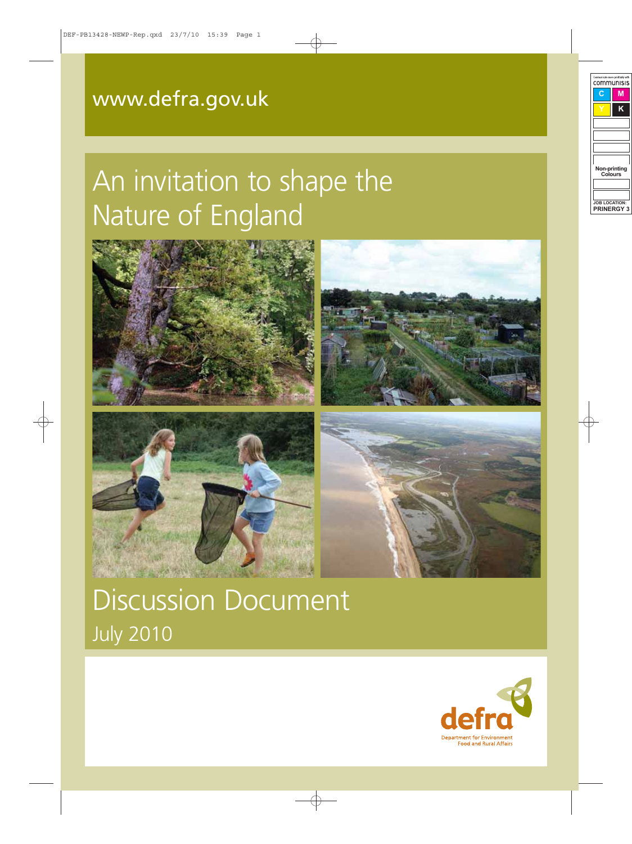# [www.defra.gov.uk](http://www.defra.gov.uk)

# An invitation to shape the Nature of England



Mally Che



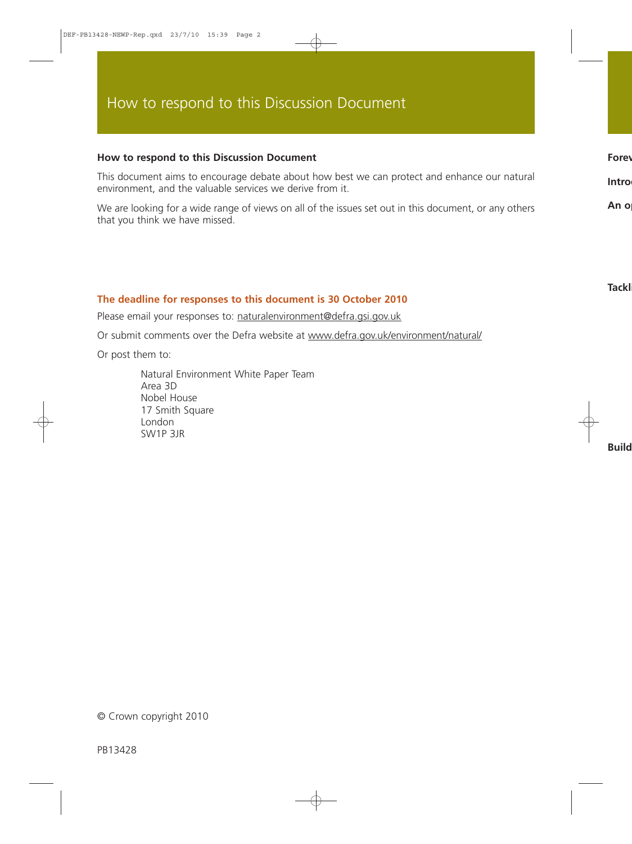#### **How to respond to this Discussion Document**

This document aims to encourage debate about how best we can protect and enhance our natural environment, and the valuable services we derive from it.

We are looking for a wide range of views on all of the issues set out in this document, or any others that you think we have missed.

#### **The deadline for responses to this document is 30 October 2010**

Please email your responses to: [naturalenvironment@defra.gsi.gov.uk](mailto:naturalenvironment@defra.gsi.gov.uk)

Or submit comments over the Defra website at [www.defra.gov.uk/environment/natural/](http://www.defra.gov.uk/environment/natural/)

Or post them to:

Natural Environment White Paper Team Area 3D Nobel House 17 Smith Square London SW1P 3JR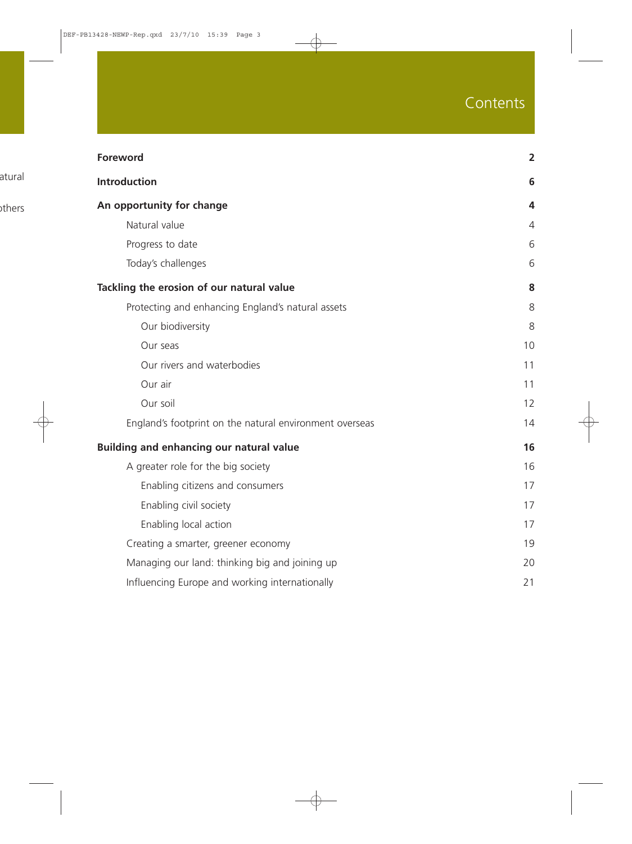# Contents

| <b>Foreword</b>                                         | $\overline{2}$ |
|---------------------------------------------------------|----------------|
| <b>Introduction</b>                                     | 6              |
| An opportunity for change                               | 4              |
| Natural value                                           | 4              |
| Progress to date                                        | 6              |
| Today's challenges                                      | 6              |
| Tackling the erosion of our natural value               | 8              |
| Protecting and enhancing England's natural assets       | 8              |
| Our biodiversity                                        | 8              |
| Our seas                                                | 10             |
| Our rivers and waterbodies                              | 11             |
| Our air                                                 | 11             |
| Our soil                                                | 12             |
| England's footprint on the natural environment overseas | 14             |
| <b>Building and enhancing our natural value</b>         | 16             |
| A greater role for the big society                      | 16             |
| Enabling citizens and consumers                         | 17             |
| Enabling civil society                                  | 17             |
| Enabling local action                                   | 17             |
| Creating a smarter, greener economy                     | 19             |
| Managing our land: thinking big and joining up          | 20             |
| Influencing Europe and working internationally          | 21             |
|                                                         |                |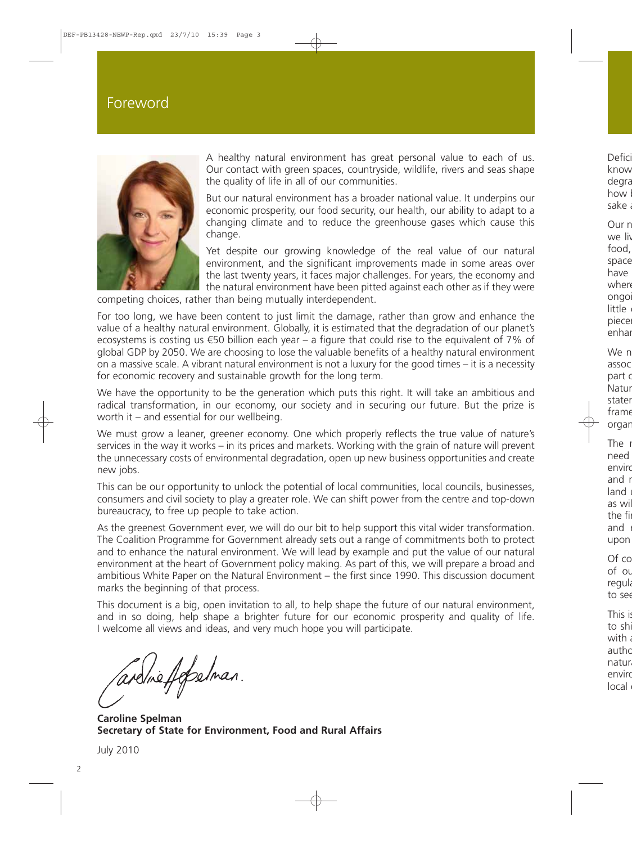### Foreword



A healthy natural environment has great personal value to each of us. Our contact with green spaces, countryside, wildlife, rivers and seas shape the quality of life in all of our communities.

But our natural environment has a broader national value. It underpins our economic prosperity, our food security, our health, our ability to adapt to a changing climate and to reduce the greenhouse gases which cause this change.

Yet despite our growing knowledge of the real value of our natural environment, and the significant improvements made in some areas over the last twenty years, it faces major challenges. For years, the economy and the natural environment have been pitted against each other as if they were

competing choices, rather than being mutually interdependent.

For too long, we have been content to just limit the damage, rather than grow and enhance the value of a healthy natural environment. Globally, it is estimated that the degradation of our planet's ecosystems is costing us €50 billion each year – a figure that could rise to the equivalent of 7% of global GDP by 2050. We are choosing to lose the valuable benefits of a healthy natural environment on a massive scale. A vibrant natural environment is not a luxury for the good times – it is a necessity for economic recovery and sustainable growth for the long term.

We have the opportunity to be the generation which puts this right. It will take an ambitious and radical transformation, in our economy, our society and in securing our future. But the prize is worth it – and essential for our wellbeing.

We must grow a leaner, greener economy. One which properly reflects the true value of nature's services in the way it works – in its prices and markets. Working with the grain of nature will prevent the unnecessary costs of environmental degradation, open up new business opportunities and create new jobs.

This can be our opportunity to unlock the potential of local communities, local councils, businesses, consumers and civil society to play a greater role. We can shift power from the centre and top-down bureaucracy, to free up people to take action.

As the greenest Government ever, we will do our bit to help support this vital wider transformation. The Coalition Programme for Government already sets out a range of commitments both to protect and to enhance the natural environment. We will lead by example and put the value of our natural environment at the heart of Government policy making. As part of this, we will prepare a broad and ambitious White Paper on the Natural Environment – the first since 1990. This discussion document marks the beginning of that process.

This document is a big, open invitation to all, to help shape the future of our natural environment, and in so doing, help shape a brighter future for our economic prosperity and quality of life. I welcome all views and ideas, and very much hope you will participate.

ardine felselman.

**Caroline Spelman Secretary of State for Environment, Food and Rural Affairs**

July 2010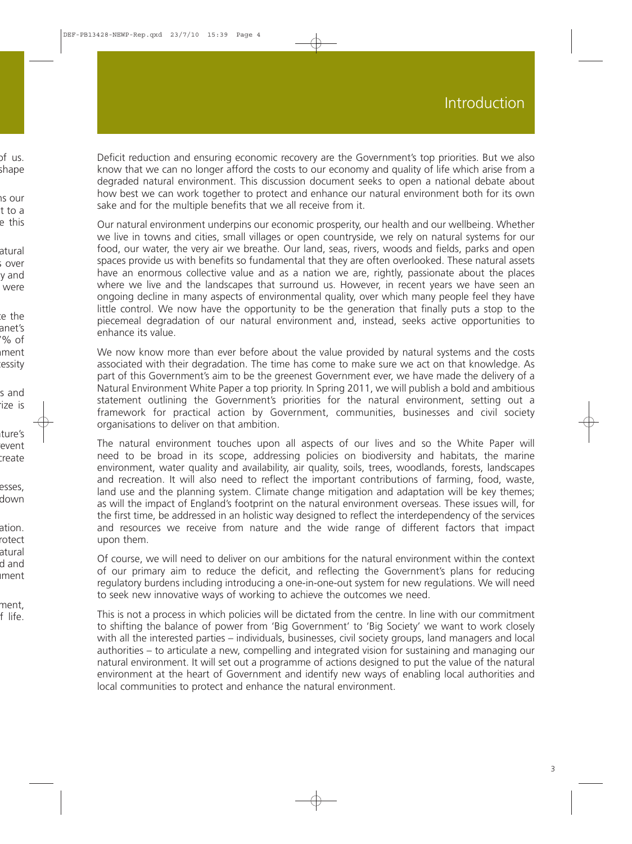Deficit reduction and ensuring economic recovery are the Government's top priorities. But we also know that we can no longer afford the costs to our economy and quality of life which arise from a degraded natural environment. This discussion document seeks to open a national debate about how best we can work together to protect and enhance our natural environment both for its own sake and for the multiple benefits that we all receive from it.

Our natural environment underpins our economic prosperity, our health and our wellbeing. Whether we live in towns and cities, small villages or open countryside, we rely on natural systems for our food, our water, the very air we breathe. Our land, seas, rivers, woods and fields, parks and open spaces provide us with benefits so fundamental that they are often overlooked. These natural assets have an enormous collective value and as a nation we are, rightly, passionate about the places where we live and the landscapes that surround us. However, in recent years we have seen an ongoing decline in many aspects of environmental quality, over which many people feel they have little control. We now have the opportunity to be the generation that finally puts a stop to the piecemeal degradation of our natural environment and, instead, seeks active opportunities to enhance its value.

We now know more than ever before about the value provided by natural systems and the costs associated with their degradation. The time has come to make sure we act on that knowledge. As part of this Government's aim to be the greenest Government ever, we have made the delivery of a Natural Environment White Paper a top priority. In Spring 2011, we will publish a bold and ambitious statement outlining the Government's priorities for the natural environment, setting out a framework for practical action by Government, communities, businesses and civil society organisations to deliver on that ambition.

The natural environment touches upon all aspects of our lives and so the White Paper will need to be broad in its scope, addressing policies on biodiversity and habitats, the marine environment, water quality and availability, air quality, soils, trees, woodlands, forests, landscapes and recreation. It will also need to reflect the important contributions of farming, food, waste, land use and the planning system. Climate change mitigation and adaptation will be key themes; as will the impact of England's footprint on the natural environment overseas. These issues will, for the first time, be addressed in an holistic way designed to reflect the interdependency of the services and resources we receive from nature and the wide range of different factors that impact upon them.

Of course, we will need to deliver on our ambitions for the natural environment within the context of our primary aim to reduce the deficit, and reflecting the Government's plans for reducing regulatory burdens including introducing a one-in-one-out system for new regulations. We will need to seek new innovative ways of working to achieve the outcomes we need.

This is not a process in which policies will be dictated from the centre. In line with our commitment to shifting the balance of power from 'Big Government' to 'Big Society' we want to work closely with all the interested parties – individuals, businesses, civil society groups, land managers and local authorities – to articulate a new, compelling and integrated vision for sustaining and managing our natural environment. It will set out a programme of actions designed to put the value of the natural environment at the heart of Government and identify new ways of enabling local authorities and local communities to protect and enhance the natural environment.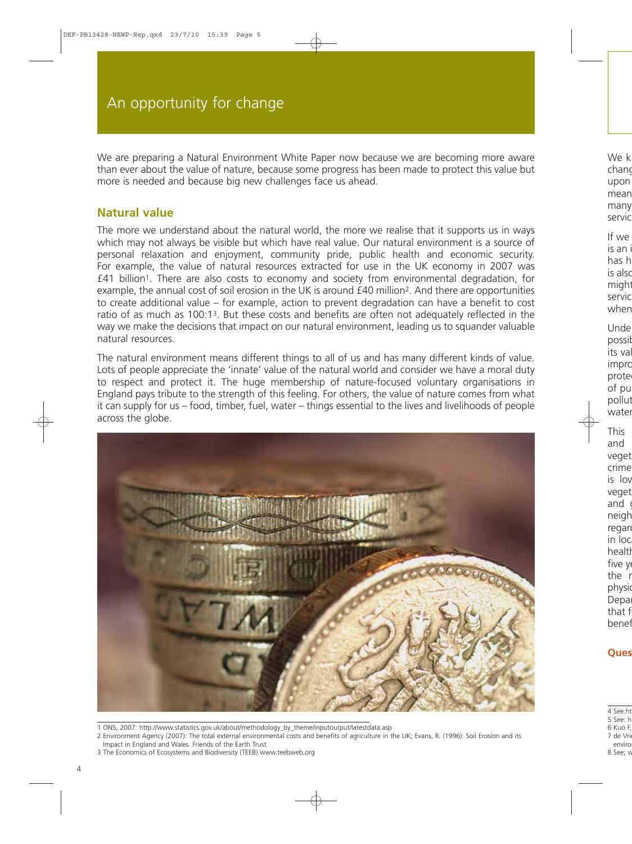We are preparing a Natural Environment White Paper now because we are becoming more aware than ever about the value of nature, because some progress has been made to protect this value but more is needed and because big new challenges face us ahead.

### **Natural value**

The more we understand about the natural world, the more we realise that it supports us in ways which may not always be visible but which have real value. Our natural environment is a source of personal relaxation and enjoyment, community pride, public health and economic security. For example, the value of natural resources extracted for use in the UK economy in 2007 was £41 billion1. There are also costs to economy and society from environmental degradation, for example, the annual cost of soil erosion in the UK is around £40 million2. And there are opportunities to create additional value – for example, action to prevent degradation can have a benefit to cost ratio of as much as 100:13. But these costs and benefits are often not adequately reflected in the way we make the decisions that impact on our natural environment, leading us to squander valuable natural resources.

The natural environment means different things to all of us and has many different kinds of value. Lots of people appreciate the 'innate' value of the natural world and consider we have a moral duty to respect and protect it. The huge membership of nature-focused voluntary organisations in England pays tribute to the strength of this feeling. For others, the value of nature comes from what it can supply for us – food, timber, fuel, water – things essential to the lives and livelihoods of people across the globe.



- 1 ONS, 2007: [http://www.statistics.gov.uk/about/methodology\\_by\\_theme/inputoutput/latestdata.asp](http://www.statistics.gov.uk/about/methodology_by_theme/inputoutput/latestdata.asp)
- 2 Environment Agency (2007): The total external environmental costs and benefits of agriculture in the UK; Evans, R. (1996): Soil Erosion and its Impact in England and Wales. Friends of the Earth Trust.
- 3 The Economics of Ecosystems and Biodiversity (TEEB) [www.teebweb.org](http://www.teebweb.org)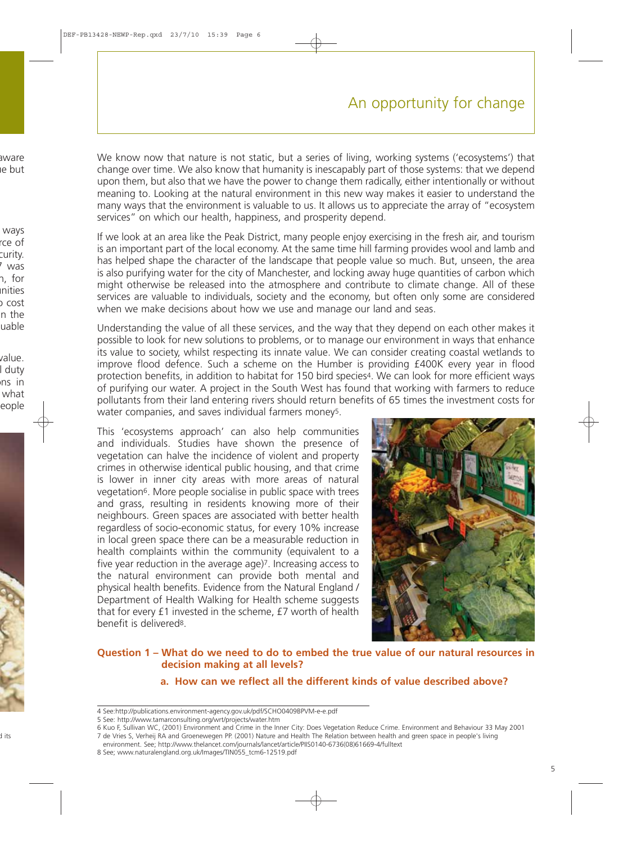# An opportunity for change

We know now that nature is not static, but a series of living, working systems ('ecosystems') that change over time. We also know that humanity is inescapably part of those systems: that we depend upon them, but also that we have the power to change them radically, either intentionally or without meaning to. Looking at the natural environment in this new way makes it easier to understand the many ways that the environment is valuable to us. It allows us to appreciate the array of "ecosystem services" on which our health, happiness, and prosperity depend.

If we look at an area like the Peak District, many people enjoy exercising in the fresh air, and tourism is an important part of the local economy. At the same time hill farming provides wool and lamb and has helped shape the character of the landscape that people value so much. But, unseen, the area is also purifying water for the city of Manchester, and locking away huge quantities of carbon which might otherwise be released into the atmosphere and contribute to climate change. All of these services are valuable to individuals, society and the economy, but often only some are considered when we make decisions about how we use and manage our land and seas.

Understanding the value of all these services, and the way that they depend on each other makes it possible to look for new solutions to problems, or to manage our environment in ways that enhance its value to society, whilst respecting its innate value. We can consider creating coastal wetlands to improve flood defence. Such a scheme on the Humber is providing £400K every year in flood protection benefits, in addition to habitat for 150 bird species4. We can look for more efficient ways of purifying our water. A project in the South West has found that working with farmers to reduce pollutants from their land entering rivers should return benefits of 65 times the investment costs for water companies, and saves individual farmers money<sup>5</sup>.

This 'ecosystems approach' can also help communities and individuals. Studies have shown the presence of vegetation can halve the incidence of violent and property crimes in otherwise identical public housing, and that crime is lower in inner city areas with more areas of natural vegetation6. More people socialise in public space with trees and grass, resulting in residents knowing more of their neighbours. Green spaces are associated with better health regardless of socio-economic status, for every 10% increase in local green space there can be a measurable reduction in health complaints within the community (equivalent to a five year reduction in the average age)7. Increasing access to the natural environment can provide both mental and physical health benefits. Evidence from the Natural England / Department of Health Walking for Health scheme suggests that for every £1 invested in the scheme, £7 worth of health benefit is delivered8.



#### **Question 1 – What do we need to do to embed the true value of our natural resources in decision making at all levels?**

#### **a. How can we reflect all the different kinds of value described above?**

<sup>4</sup> See:<http://publications.environment-agency.gov.uk/pdf/SCHO0409BPVM-e-e.pdf>

<sup>5</sup> See:<http://www.tamarconsulting.org/wrt/projects/water.htm>

<sup>6</sup> Kuo F, Sullivan WC, (2001) Environment and Crime in the Inner City: Does Vegetation Reduce Crime. Environment and Behaviour 33 May 2001 7 de Vries S, Verheij RA and Groenewegen PP. (2001) Nature and Health The Relation between health and green space in people's living environment. See; [http://www.thelancet.com/journals/lancet/article/PIIS0140-6736\(08\)61669-4/fulltext](http://www.thelancet.com/journals/lancet/article/PIIS0140-6736(08)61669-4/fulltext)

<sup>8</sup> See; [www.naturalengland.org.uk/Images/TIN055\\_tcm6-12519.pdf](http://www.naturalengland.org.uk/Images/TIN055_tcm6-12519.pdf)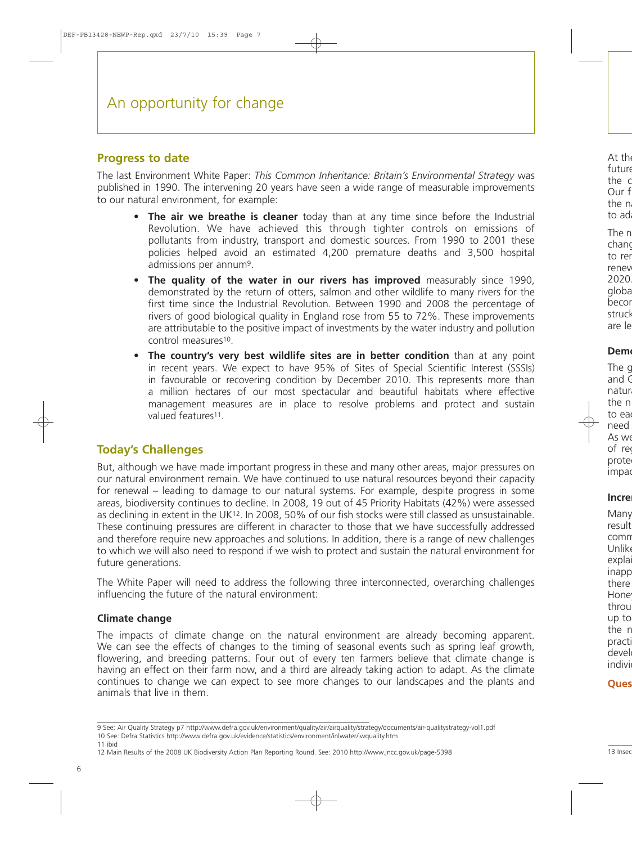#### **Progress to date**

The last Environment White Paper: *This Common Inheritance: Britain's Environmental Strategy* was published in 1990. The intervening 20 years have seen a wide range of measurable improvements to our natural environment, for example:

- **The air we breathe is cleaner** today than at any time since before the Industrial Revolution. We have achieved this through tighter controls on emissions of pollutants from industry, transport and domestic sources. From 1990 to 2001 these policies helped avoid an estimated 4,200 premature deaths and 3,500 hospital admissions per annum9.
- **The quality of the water in our rivers has improved** measurably since 1990, demonstrated by the return of otters, salmon and other wildlife to many rivers for the first time since the Industrial Revolution. Between 1990 and 2008 the percentage of rivers of good biological quality in England rose from 55 to 72%. These improvements are attributable to the positive impact of investments by the water industry and pollution control measures10.
- **The country's very best wildlife sites are in better condition** than at any point in recent years. We expect to have 95% of Sites of Special Scientific Interest (SSSIs) in favourable or recovering condition by December 2010. This represents more than a million hectares of our most spectacular and beautiful habitats where effective management measures are in place to resolve problems and protect and sustain valued features<sup>11</sup>.

### **Today's Challenges**

But, although we have made important progress in these and many other areas, major pressures on our natural environment remain. We have continued to use natural resources beyond their capacity for renewal – leading to damage to our natural systems. For example, despite progress in some areas, biodiversity continues to decline. In 2008, 19 out of 45 Priority Habitats (42%) were assessed as declining in extent in the UK12. In 2008, 50% of our fish stocks were still classed as unsustainable. These continuing pressures are different in character to those that we have successfully addressed and therefore require new approaches and solutions. In addition, there is a range of new challenges to which we will also need to respond if we wish to protect and sustain the natural environment for future generations.

The White Paper will need to address the following three interconnected, overarching challenges influencing the future of the natural environment:

#### **Climate change**

The impacts of climate change on the natural environment are already becoming apparent. We can see the effects of changes to the timing of seasonal events such as spring leaf growth, flowering, and breeding patterns. Four out of every ten farmers believe that climate change is having an effect on their farm now, and a third are already taking action to adapt. As the climate continues to change we can expect to see more changes to our landscapes and the plants and animals that live in them.

11 ibid

<sup>9</sup> See: Air Quality Strategy p7<http://www.defra.gov.uk/environment/quality/air/airquality/strategy/documents/air-qualitystrategy-vol1.pdf> 10 See: Defra Statistics<http://www.defra.gov.uk/evidence/statistics/environment/inlwater/iwquality.htm>

<sup>12</sup> Main Results of the 2008 UK Biodiversity Action Plan Reporting Round. See: 2010<http://www.jncc.gov.uk/page-5398>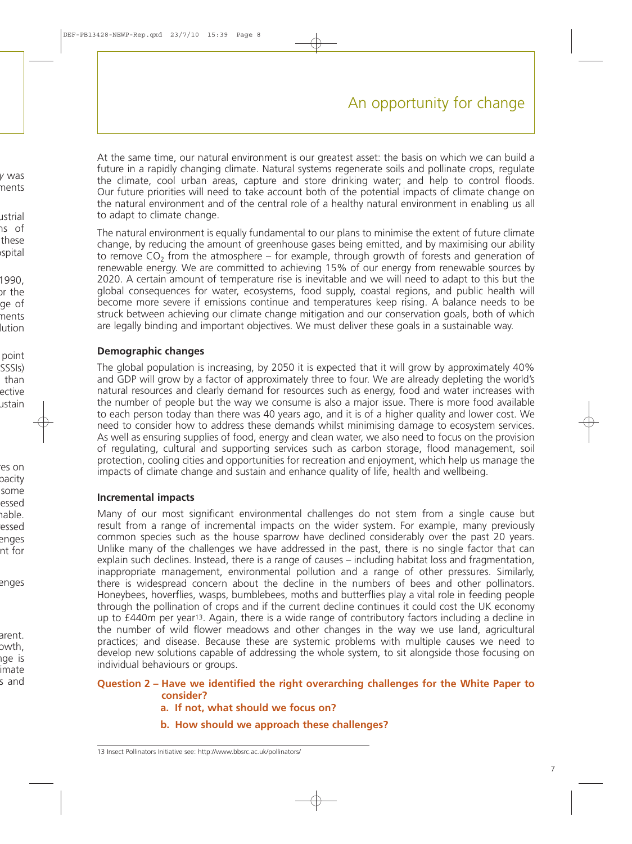At the same time, our natural environment is our greatest asset: the basis on which we can build a future in a rapidly changing climate. Natural systems regenerate soils and pollinate crops, regulate the climate, cool urban areas, capture and store drinking water; and help to control floods. Our future priorities will need to take account both of the potential impacts of climate change on the natural environment and of the central role of a healthy natural environment in enabling us all to adapt to climate change.

The natural environment is equally fundamental to our plans to minimise the extent of future climate change, by reducing the amount of greenhouse gases being emitted, and by maximising our ability to remove  $CO<sub>2</sub>$  from the atmosphere – for example, through growth of forests and generation of renewable energy. We are committed to achieving 15% of our energy from renewable sources by 2020. A certain amount of temperature rise is inevitable and we will need to adapt to this but the global consequences for water, ecosystems, food supply, coastal regions, and public health will become more severe if emissions continue and temperatures keep rising. A balance needs to be struck between achieving our climate change mitigation and our conservation goals, both of which are legally binding and important objectives. We must deliver these goals in a sustainable way.

#### **Demographic changes**

The global population is increasing, by 2050 it is expected that it will grow by approximately 40% and GDP will grow by a factor of approximately three to four. We are already depleting the world's natural resources and clearly demand for resources such as energy, food and water increases with the number of people but the way we consume is also a major issue. There is more food available to each person today than there was 40 years ago, and it is of a higher quality and lower cost. We need to consider how to address these demands whilst minimising damage to ecosystem services. As well as ensuring supplies of food, energy and clean water, we also need to focus on the provision of regulating, cultural and supporting services such as carbon storage, flood management, soil protection, cooling cities and opportunities for recreation and enjoyment, which help us manage the impacts of climate change and sustain and enhance quality of life, health and wellbeing.

#### **Incremental impacts**

Many of our most significant environmental challenges do not stem from a single cause but result from a range of incremental impacts on the wider system. For example, many previously common species such as the house sparrow have declined considerably over the past 20 years. Unlike many of the challenges we have addressed in the past, there is no single factor that can explain such declines. Instead, there is a range of causes – including habitat loss and fragmentation, inappropriate management, environmental pollution and a range of other pressures. Similarly, there is widespread concern about the decline in the numbers of bees and other pollinators. Honeybees, hoverflies, wasps, bumblebees, moths and butterflies play a vital role in feeding people through the pollination of crops and if the current decline continues it could cost the UK economy up to £440m per year13. Again, there is a wide range of contributory factors including a decline in the number of wild flower meadows and other changes in the way we use land, agricultural practices; and disease. Because these are systemic problems with multiple causes we need to develop new solutions capable of addressing the whole system, to sit alongside those focusing on individual behaviours or groups.

#### **Question 2 – Have we identified the right overarching challenges for the White Paper to consider?**

- **a. If not, what should we focus on?**
- **b. How should we approach these challenges?**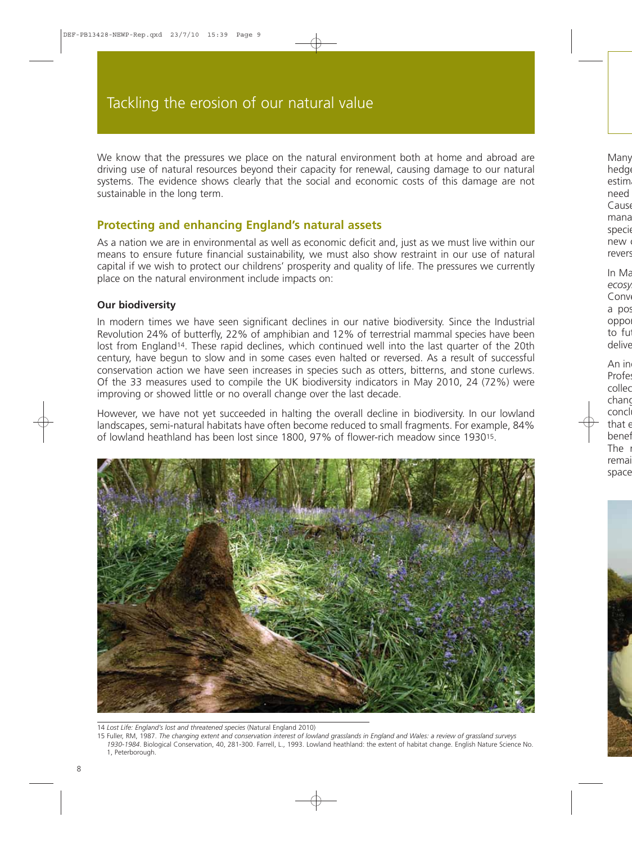We know that the pressures we place on the natural environment both at home and abroad are driving use of natural resources beyond their capacity for renewal, causing damage to our natural systems. The evidence shows clearly that the social and economic costs of this damage are not sustainable in the long term.

#### **Protecting and enhancing England's natural assets**

As a nation we are in environmental as well as economic deficit and, just as we must live within our means to ensure future financial sustainability, we must also show restraint in our use of natural capital if we wish to protect our childrens' prosperity and quality of life. The pressures we currently place on the natural environment include impacts on:

#### **Our biodiversity**

In modern times we have seen significant declines in our native biodiversity. Since the Industrial Revolution 24% of butterfly, 22% of amphibian and 12% of terrestrial mammal species have been lost from England<sup>14</sup>. These rapid declines, which continued well into the last quarter of the 20th century, have begun to slow and in some cases even halted or reversed. As a result of successful conservation action we have seen increases in species such as otters, bitterns, and stone curlews. Of the 33 measures used to compile the UK biodiversity indicators in May 2010, 24 (72%) were improving or showed little or no overall change over the last decade.

However, we have not yet succeeded in halting the overall decline in biodiversity. In our lowland landscapes, semi-natural habitats have often become reduced to small fragments. For example, 84% of lowland heathland has been lost since 1800, 97% of flower-rich meadow since 193015.



14 *Lost Life: England's lost and threatened species* (Natural England 2010)

<sup>15</sup> Fuller, RM, 1987. *The changing extent and conservation interest of lowland grasslands in England and Wales: a review of grassland surveys 1930-1984*. Biological Conservation, 40, 281-300. Farrell, L., 1993. Lowland heathland: the extent of habitat change. English Nature Science No. 1, Peterborough.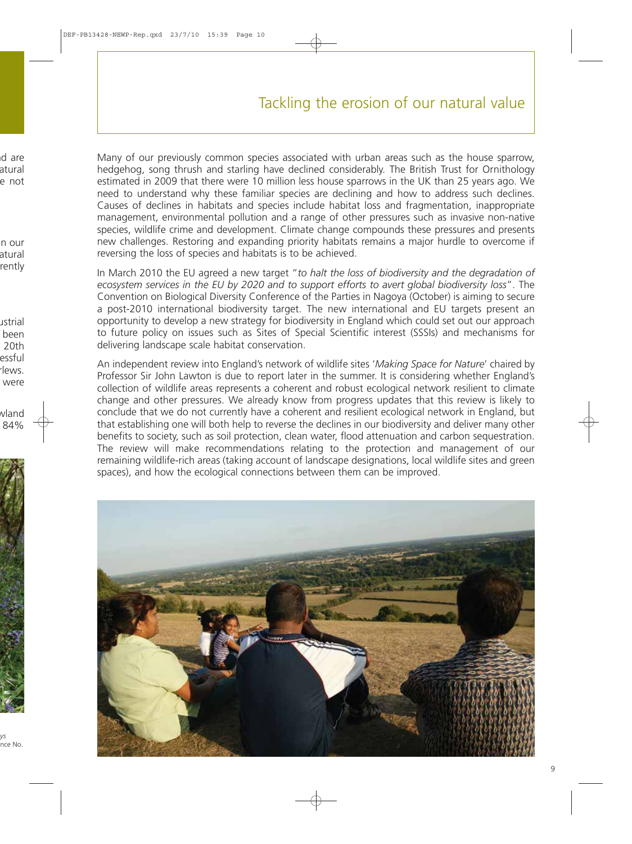# Tackling the erosion of our natural value

Many of our previously common species associated with urban areas such as the house sparrow, hedgehog, song thrush and starling have declined considerably. The British Trust for Ornithology estimated in 2009 that there were 10 million less house sparrows in the UK than 25 years ago. We need to understand why these familiar species are declining and how to address such declines. Causes of declines in habitats and species include habitat loss and fragmentation, inappropriate management, environmental pollution and a range of other pressures such as invasive non-native species, wildlife crime and development. Climate change compounds these pressures and presents new challenges. Restoring and expanding priority habitats remains a major hurdle to overcome if reversing the loss of species and habitats is to be achieved.

In March 2010 the EU agreed a new target "*to halt the loss of biodiversity and the degradation of ecosystem services in the EU by 2020 and to support efforts to avert global biodiversity loss*". The Convention on Biological Diversity Conference of the Parties in Nagoya (October) is aiming to secure a post-2010 international biodiversity target. The new international and EU targets present an opportunity to develop a new strategy for biodiversity in England which could set out our approach to future policy on issues such as Sites of Special Scientific interest (SSSIs) and mechanisms for delivering landscape scale habitat conservation.

An independent review into England's network of wildlife sites '*Making Space for Nature*' chaired by Professor Sir John Lawton is due to report later in the summer. It is considering whether England's collection of wildlife areas represents a coherent and robust ecological network resilient to climate change and other pressures. We already know from progress updates that this review is likely to conclude that we do not currently have a coherent and resilient ecological network in England, but that establishing one will both help to reverse the declines in our biodiversity and deliver many other benefits to society, such as soil protection, clean water, flood attenuation and carbon sequestration. The review will make recommendations relating to the protection and management of our remaining wildlife-rich areas (taking account of landscape designations, local wildlife sites and green spaces), and how the ecological connections between them can be improved.

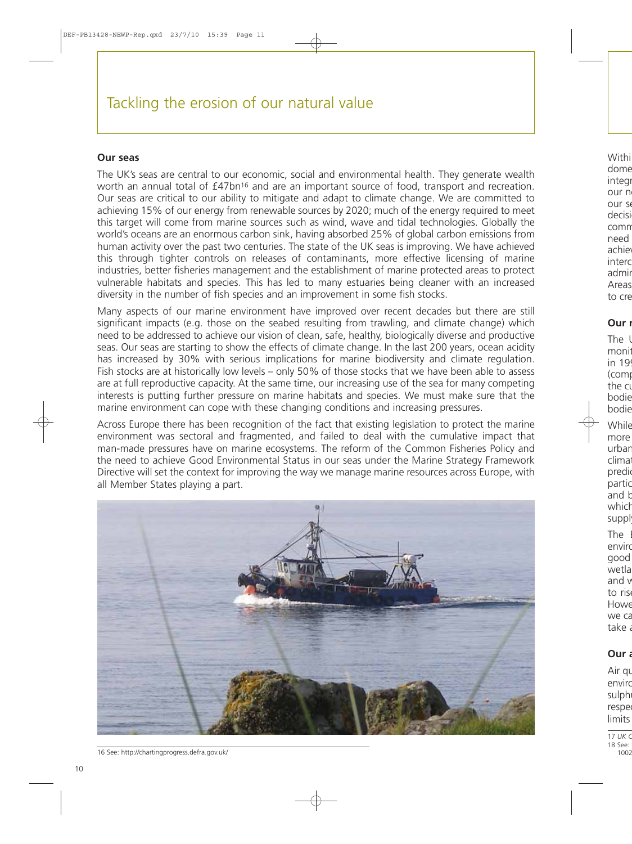#### **Our seas**

The UK's seas are central to our economic, social and environmental health. They generate wealth worth an annual total of £47bn<sup>16</sup> and are an important source of food, transport and recreation. Our seas are critical to our ability to mitigate and adapt to climate change. We are committed to achieving 15% of our energy from renewable sources by 2020; much of the energy required to meet this target will come from marine sources such as wind, wave and tidal technologies. Globally the world's oceans are an enormous carbon sink, having absorbed 25% of global carbon emissions from human activity over the past two centuries. The state of the UK seas is improving. We have achieved this through tighter controls on releases of contaminants, more effective licensing of marine industries, better fisheries management and the establishment of marine protected areas to protect vulnerable habitats and species. This has led to many estuaries being cleaner with an increased diversity in the number of fish species and an improvement in some fish stocks.

Many aspects of our marine environment have improved over recent decades but there are still significant impacts (e.g. those on the seabed resulting from trawling, and climate change) which need to be addressed to achieve our vision of clean, safe, healthy, biologically diverse and productive seas. Our seas are starting to show the effects of climate change. In the last 200 years, ocean acidity has increased by 30% with serious implications for marine biodiversity and climate regulation. Fish stocks are at historically low levels – only 50% of those stocks that we have been able to assess are at full reproductive capacity. At the same time, our increasing use of the sea for many competing interests is putting further pressure on marine habitats and species. We must make sure that the marine environment can cope with these changing conditions and increasing pressures.

Across Europe there has been recognition of the fact that existing legislation to protect the marine environment was sectoral and fragmented, and failed to deal with the cumulative impact that man-made pressures have on marine ecosystems. The reform of the Common Fisheries Policy and the need to achieve Good Environmental Status in our seas under the Marine Strategy Framework Directive will set the context for improving the way we manage marine resources across Europe, with all Member States playing a part.



16 See:<http://chartingprogress.defra.gov.uk/>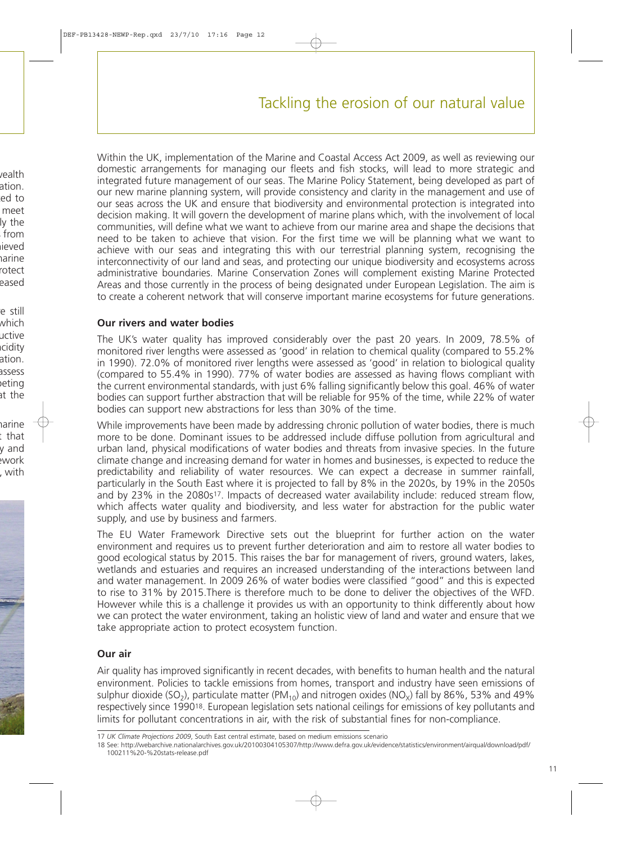Within the UK, implementation of the Marine and Coastal Access Act 2009, as well as reviewing our domestic arrangements for managing our fleets and fish stocks, will lead to more strategic and integrated future management of our seas. The Marine Policy Statement, being developed as part of our new marine planning system, will provide consistency and clarity in the management and use of our seas across the UK and ensure that biodiversity and environmental protection is integrated into decision making. It will govern the development of marine plans which, with the involvement of local communities, will define what we want to achieve from our marine area and shape the decisions that need to be taken to achieve that vision. For the first time we will be planning what we want to achieve with our seas and integrating this with our terrestrial planning system, recognising the interconnectivity of our land and seas, and protecting our unique biodiversity and ecosystems across administrative boundaries. Marine Conservation Zones will complement existing Marine Protected Areas and those currently in the process of being designated under European Legislation. The aim is to create a coherent network that will conserve important marine ecosystems for future generations.

#### **Our rivers and water bodies**

The UK's water quality has improved considerably over the past 20 years. In 2009, 78.5% of monitored river lengths were assessed as 'good' in relation to chemical quality (compared to 55.2% in 1990). 72.0% of monitored river lengths were assessed as 'good' in relation to biological quality (compared to 55.4% in 1990). 77% of water bodies are assessed as having flows compliant with the current environmental standards, with just 6% falling significantly below this goal. 46% of water bodies can support further abstraction that will be reliable for 95% of the time, while 22% of water bodies can support new abstractions for less than 30% of the time.

While improvements have been made by addressing chronic pollution of water bodies, there is much more to be done. Dominant issues to be addressed include diffuse pollution from agricultural and urban land, physical modifications of water bodies and threats from invasive species. In the future climate change and increasing demand for water in homes and businesses, is expected to reduce the predictability and reliability of water resources. We can expect a decrease in summer rainfall, particularly in the South East where it is projected to fall by 8% in the 2020s, by 19% in the 2050s and by 23% in the 2080s<sup>17</sup>. Impacts of decreased water availability include: reduced stream flow, which affects water quality and biodiversity, and less water for abstraction for the public water supply, and use by business and farmers.

The EU Water Framework Directive sets out the blueprint for further action on the water environment and requires us to prevent further deterioration and aim to restore all water bodies to good ecological status by 2015. This raises the bar for management of rivers, ground waters, lakes, wetlands and estuaries and requires an increased understanding of the interactions between land and water management. In 2009 26% of water bodies were classified "good" and this is expected to rise to 31% by 2015.There is therefore much to be done to deliver the objectives of the WFD. However while this is a challenge it provides us with an opportunity to think differently about how we can protect the water environment, taking an holistic view of land and water and ensure that we take appropriate action to protect ecosystem function.

#### **Our air**

Air quality has improved significantly in recent decades, with benefits to human health and the natural environment. Policies to tackle emissions from homes, transport and industry have seen emissions of sulphur dioxide (SO<sub>2</sub>), particulate matter (PM<sub>10</sub>) and nitrogen oxides (NO<sub>x</sub>) fall by 86%, 53% and 49% respectively since 199018. European legislation sets national ceilings for emissions of key pollutants and limits for pollutant concentrations in air, with the risk of substantial fines for non-compliance.

<sup>17</sup> *UK Climate Projections 2009*, South East central estimate, based on medium emissions scenario

<sup>18</sup> See: [http://webarchive.nationalarchives.gov.uk/20100304105307/http://www.defra.gov.uk/evidence/statistics/environment/airqual/download/pdf/](http://webarchive.nationalarchives.gov.uk/20100304105307/http://www.defra.gov.uk/evidence/statistics/environment/airqual/download/pdf/100211%20-%20stats-release.pdf) 100211%20-%20stats-release.pdf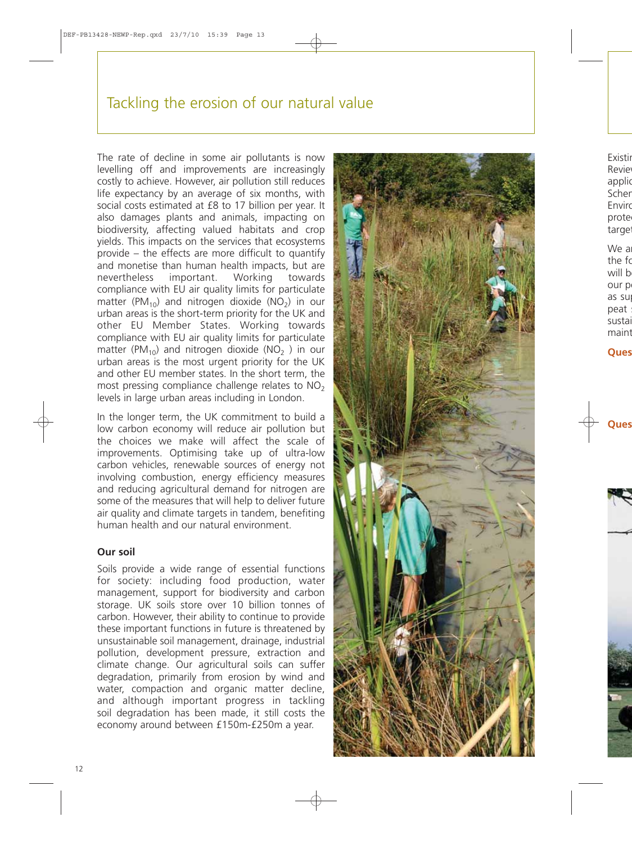## Tackling the erosion of our natural value

The rate of decline in some air pollutants is now levelling off and improvements are increasingly costly to achieve. However, air pollution still reduces life expectancy by an average of six months, with social costs estimated at £8 to 17 billion per year. It also damages plants and animals, impacting on biodiversity, affecting valued habitats and crop yields. This impacts on the services that ecosystems provide – the effects are more difficult to quantify and monetise than human health impacts, but are nevertheless important. Working towards compliance with EU air quality limits for particulate matter (PM<sub>10</sub>) and nitrogen dioxide (NO<sub>2</sub>) in our urban areas is the short-term priority for the UK and other EU Member States. Working towards compliance with EU air quality limits for particulate matter (PM<sub>10</sub>) and nitrogen dioxide (NO<sub>2</sub>) in our urban areas is the most urgent priority for the UK and other EU member states. In the short term, the most pressing compliance challenge relates to  $NO<sub>2</sub>$ levels in large urban areas including in London.

In the longer term, the UK commitment to build a low carbon economy will reduce air pollution but the choices we make will affect the scale of improvements. Optimising take up of ultra-low carbon vehicles, renewable sources of energy not involving combustion, energy efficiency measures and reducing agricultural demand for nitrogen are some of the measures that will help to deliver future air quality and climate targets in tandem, benefiting human health and our natural environment.

#### **Our soil**

Soils provide a wide range of essential functions for society: including food production, water management, support for biodiversity and carbon storage. UK soils store over 10 billion tonnes of carbon. However, their ability to continue to provide these important functions in future is threatened by unsustainable soil management, drainage, industrial pollution, development pressure, extraction and climate change. Our agricultural soils can suffer degradation, primarily from erosion by wind and water, compaction and organic matter decline, and although important progress in tackling soil degradation has been made, it still costs the economy around between £150m-£250m a year.

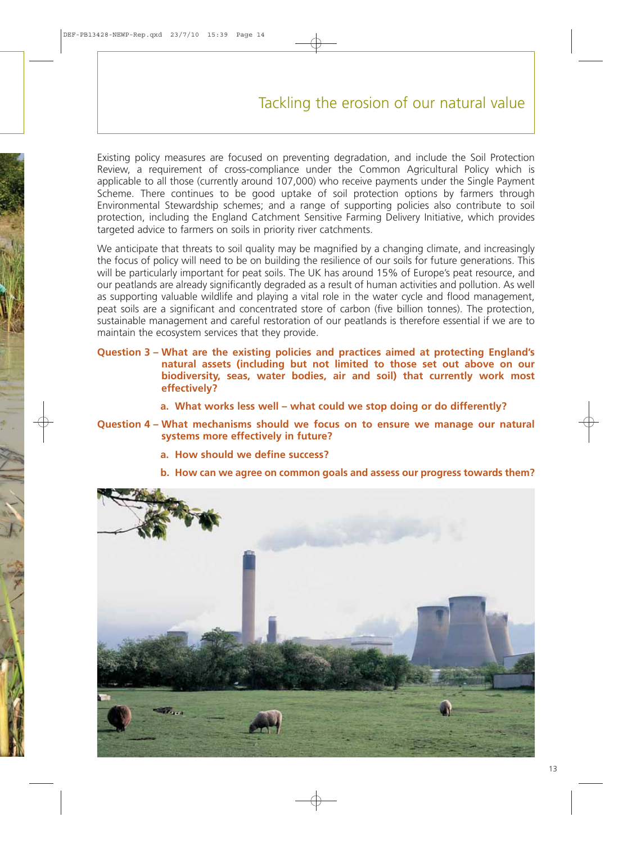# Tackling the erosion of our natural value

Existing policy measures are focused on preventing degradation, and include the Soil Protection Review, a requirement of cross-compliance under the Common Agricultural Policy which is applicable to all those (currently around 107,000) who receive payments under the Single Payment Scheme. There continues to be good uptake of soil protection options by farmers through Environmental Stewardship schemes; and a range of supporting policies also contribute to soil protection, including the England Catchment Sensitive Farming Delivery Initiative, which provides targeted advice to farmers on soils in priority river catchments.

We anticipate that threats to soil quality may be magnified by a changing climate, and increasingly the focus of policy will need to be on building the resilience of our soils for future generations. This will be particularly important for peat soils. The UK has around 15% of Europe's peat resource, and our peatlands are already significantly degraded as a result of human activities and pollution. As well as supporting valuable wildlife and playing a vital role in the water cycle and flood management, peat soils are a significant and concentrated store of carbon (five billion tonnes). The protection, sustainable management and careful restoration of our peatlands is therefore essential if we are to maintain the ecosystem services that they provide.

- **Question 3 What are the existing policies and practices aimed at protecting England's natural assets (including but not limited to those set out above on our biodiversity, seas, water bodies, air and soil) that currently work most effectively?**
	- **a. What works less well what could we stop doing or do differently?**
- **Question 4 What mechanisms should we focus on to ensure we manage our natural systems more effectively in future?**
	- **a. How should we define success?**
	- **b. How can we agree on common goals and assess our progress towards them?**

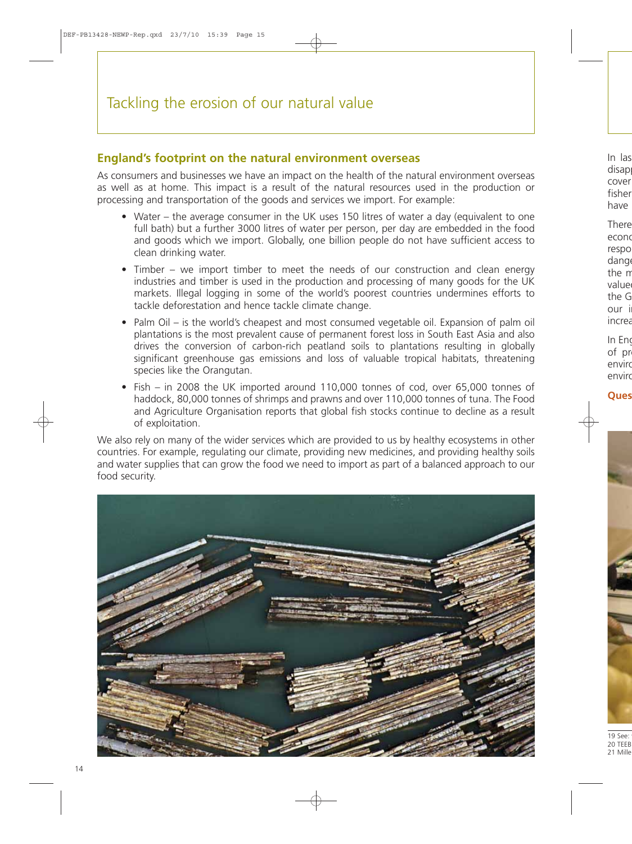### **England's footprint on the natural environment overseas**

As consumers and businesses we have an impact on the health of the natural environment overseas as well as at home. This impact is a result of the natural resources used in the production or processing and transportation of the goods and services we import. For example:

- Water the average consumer in the UK uses 150 litres of water a day (equivalent to one full bath) but a further 3000 litres of water per person, per day are embedded in the food and goods which we import. Globally, one billion people do not have sufficient access to clean drinking water.
- Timber we import timber to meet the needs of our construction and clean energy industries and timber is used in the production and processing of many goods for the UK markets. Illegal logging in some of the world's poorest countries undermines efforts to tackle deforestation and hence tackle climate change.
- Palm Oil is the world's cheapest and most consumed vegetable oil. Expansion of palm oil plantations is the most prevalent cause of permanent forest loss in South East Asia and also drives the conversion of carbon-rich peatland soils to plantations resulting in globally significant greenhouse gas emissions and loss of valuable tropical habitats, threatening species like the Orangutan.
- Fish in 2008 the UK imported around 110,000 tonnes of cod, over 65,000 tonnes of haddock, 80,000 tonnes of shrimps and prawns and over 110,000 tonnes of tuna. The Food and Agriculture Organisation reports that global fish stocks continue to decline as a result of exploitation.

We also rely on many of the wider services which are provided to us by healthy ecosystems in other countries. For example, regulating our climate, providing new medicines, and providing healthy soils and water supplies that can grow the food we need to import as part of a balanced approach to our food security.

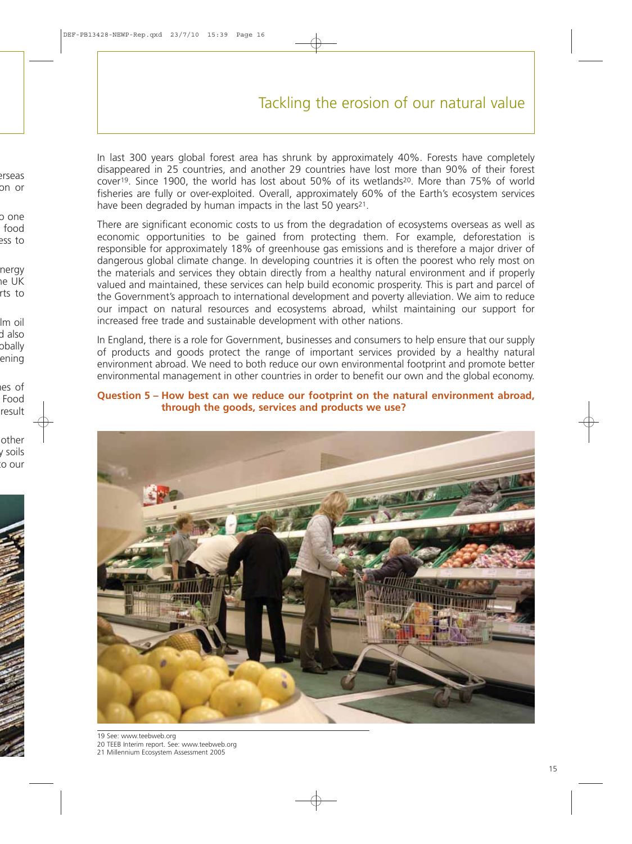# Tackling the erosion of our natural value

In last 300 years global forest area has shrunk by approximately 40%. Forests have completely disappeared in 25 countries, and another 29 countries have lost more than 90% of their forest cover19. Since 1900, the world has lost about 50% of its wetlands20. More than 75% of world fisheries are fully or over-exploited. Overall, approximately 60% of the Earth's ecosystem services have been degraded by human impacts in the last 50 years<sup>21</sup>.

There are significant economic costs to us from the degradation of ecosystems overseas as well as economic opportunities to be gained from protecting them. For example, deforestation is responsible for approximately 18% of greenhouse gas emissions and is therefore a major driver of dangerous global climate change. In developing countries it is often the poorest who rely most on the materials and services they obtain directly from a healthy natural environment and if properly valued and maintained, these services can help build economic prosperity. This is part and parcel of the Government's approach to international development and poverty alleviation. We aim to reduce our impact on natural resources and ecosystems abroad, whilst maintaining our support for increased free trade and sustainable development with other nations.

In England, there is a role for Government, businesses and consumers to help ensure that our supply of products and goods protect the range of important services provided by a healthy natural environment abroad. We need to both reduce our own environmental footprint and promote better environmental management in other countries in order to benefit our own and the global economy.

#### **Question 5 – How best can we reduce our footprint on the natural environment abroad, through the goods, services and products we use?**



19 See: [www.teebweb.org](http://www.teebweb.org) 20 TEEB Interim report. See: [www.teebweb.org](http://www.teebweb.org)

21 Millennium Ecosystem Assessment 2005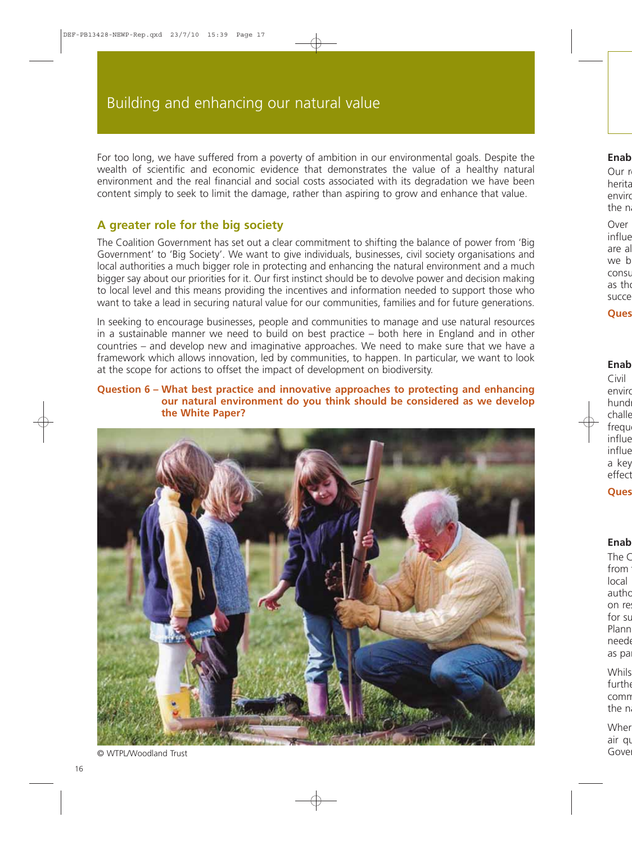For too long, we have suffered from a poverty of ambition in our environmental goals. Despite the wealth of scientific and economic evidence that demonstrates the value of a healthy natural environment and the real financial and social costs associated with its degradation we have been content simply to seek to limit the damage, rather than aspiring to grow and enhance that value.

### **A greater role for the big society**

The Coalition Government has set out a clear commitment to shifting the balance of power from 'Big Government' to 'Big Society'. We want to give individuals, businesses, civil society organisations and local authorities a much bigger role in protecting and enhancing the natural environment and a much bigger say about our priorities for it. Our first instinct should be to devolve power and decision making to local level and this means providing the incentives and information needed to support those who want to take a lead in securing natural value for our communities, families and for future generations.

In seeking to encourage businesses, people and communities to manage and use natural resources in a sustainable manner we need to build on best practice – both here in England and in other countries – and develop new and imaginative approaches. We need to make sure that we have a framework which allows innovation, led by communities, to happen. In particular, we want to look at the scope for actions to offset the impact of development on biodiversity.

#### **Question 6 – What best practice and innovative approaches to protecting and enhancing our natural environment do you think should be considered as we develop the White Paper?**



<sup>©</sup> WTPL/Woodland Trust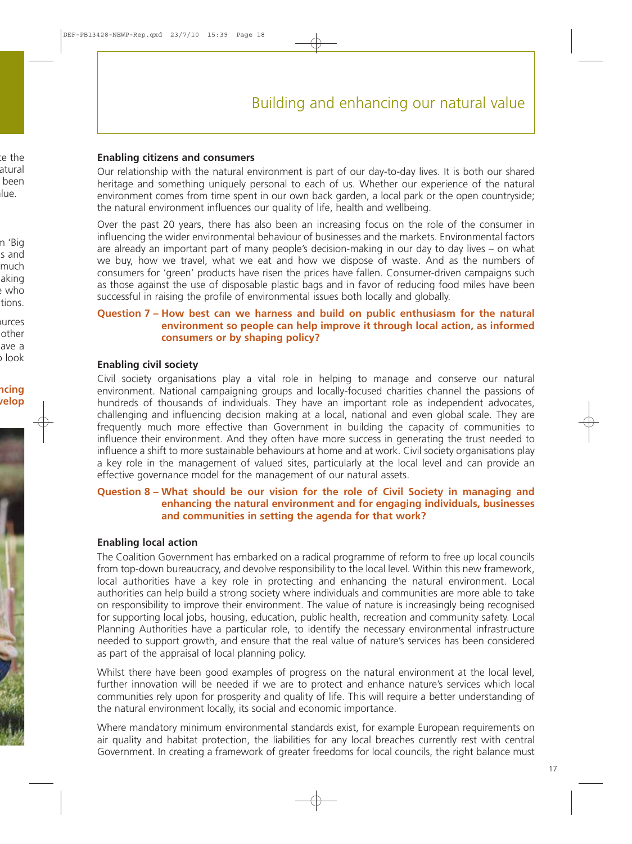#### **Enabling citizens and consumers**

Our relationship with the natural environment is part of our day-to-day lives. It is both our shared heritage and something uniquely personal to each of us. Whether our experience of the natural environment comes from time spent in our own back garden, a local park or the open countryside; the natural environment influences our quality of life, health and wellbeing.

Over the past 20 years, there has also been an increasing focus on the role of the consumer in influencing the wider environmental behaviour of businesses and the markets. Environmental factors are already an important part of many people's decision-making in our day to day lives – on what we buy, how we travel, what we eat and how we dispose of waste. And as the numbers of consumers for 'green' products have risen the prices have fallen. Consumer-driven campaigns such as those against the use of disposable plastic bags and in favor of reducing food miles have been successful in raising the profile of environmental issues both locally and globally.

#### **Question 7 – How best can we harness and build on public enthusiasm for the natural environment so people can help improve it through local action, as informed consumers or by shaping policy?**

#### **Enabling civil society**

Civil society organisations play a vital role in helping to manage and conserve our natural environment. National campaigning groups and locally-focused charities channel the passions of hundreds of thousands of individuals. They have an important role as independent advocates, challenging and influencing decision making at a local, national and even global scale. They are frequently much more effective than Government in building the capacity of communities to influence their environment. And they often have more success in generating the trust needed to influence a shift to more sustainable behaviours at home and at work. Civil society organisations play a key role in the management of valued sites, particularly at the local level and can provide an effective governance model for the management of our natural assets.

#### **Question 8 – What should be our vision for the role of Civil Society in managing and enhancing the natural environment and for engaging individuals, businesses and communities in setting the agenda for that work?**

#### **Enabling local action**

The Coalition Government has embarked on a radical programme of reform to free up local councils from top-down bureaucracy, and devolve responsibility to the local level. Within this new framework, local authorities have a key role in protecting and enhancing the natural environment. Local authorities can help build a strong society where individuals and communities are more able to take on responsibility to improve their environment. The value of nature is increasingly being recognised for supporting local jobs, housing, education, public health, recreation and community safety. Local Planning Authorities have a particular role, to identify the necessary environmental infrastructure needed to support growth, and ensure that the real value of nature's services has been considered as part of the appraisal of local planning policy.

Whilst there have been good examples of progress on the natural environment at the local level, further innovation will be needed if we are to protect and enhance nature's services which local communities rely upon for prosperity and quality of life. This will require a better understanding of the natural environment locally, its social and economic importance.

Where mandatory minimum environmental standards exist, for example European requirements on air quality and habitat protection, the liabilities for any local breaches currently rest with central Government. In creating a framework of greater freedoms for local councils, the right balance must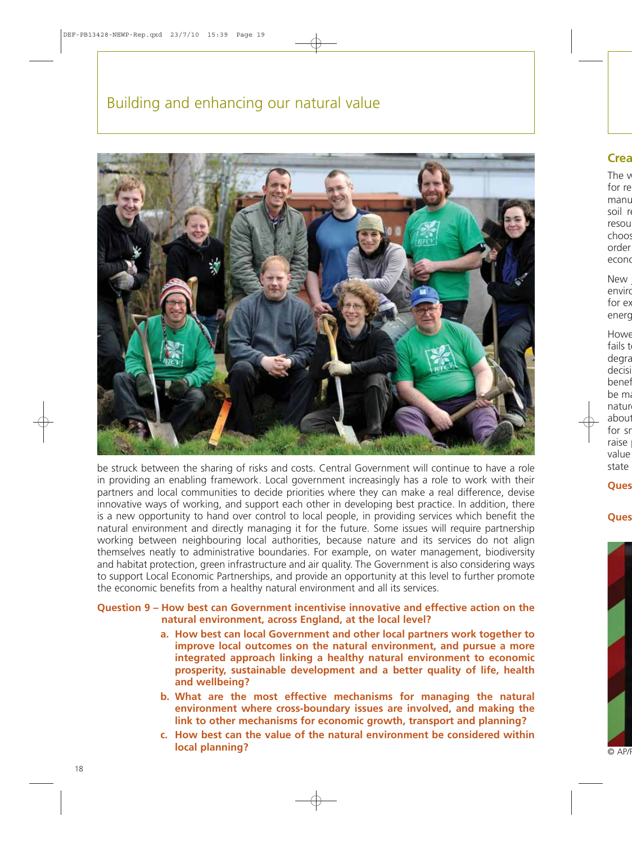# Building and enhancing our natural value



be struck between the sharing of risks and costs. Central Government will continue to have a role in providing an enabling framework. Local government increasingly has a role to work with their partners and local communities to decide priorities where they can make a real difference, devise innovative ways of working, and support each other in developing best practice. In addition, there is a new opportunity to hand over control to local people, in providing services which benefit the natural environment and directly managing it for the future. Some issues will require partnership working between neighbouring local authorities, because nature and its services do not align themselves neatly to administrative boundaries. For example, on water management, biodiversity and habitat protection, green infrastructure and air quality. The Government is also considering ways to support Local Economic Partnerships, and provide an opportunity at this level to further promote the economic benefits from a healthy natural environment and all its services.

**Question 9 – How best can Government incentivise innovative and effective action on the natural environment, across England, at the local level?**

- **a. How best can local Government and other local partners work together to improve local outcomes on the natural environment, and pursue a more integrated approach linking a healthy natural environment to economic prosperity, sustainable development and a better quality of life, health and wellbeing?**
- **b. What are the most effective mechanisms for managing the natural environment where cross-boundary issues are involved, and making the link to other mechanisms for economic growth, transport and planning?**
- **c. How best can the value of the natural environment be considered within local planning?**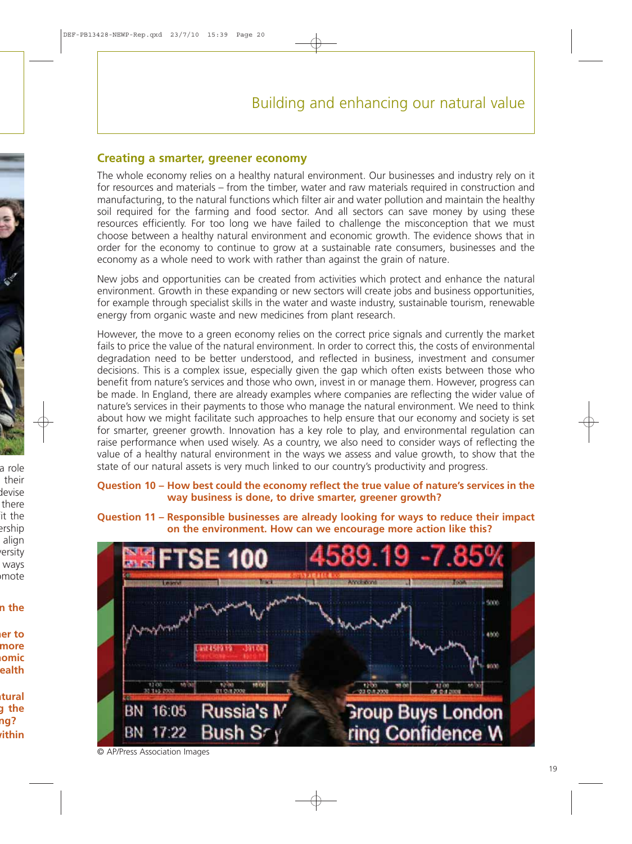#### **Creating a smarter, greener economy**

The whole economy relies on a healthy natural environment. Our businesses and industry rely on it for resources and materials – from the timber, water and raw materials required in construction and manufacturing, to the natural functions which filter air and water pollution and maintain the healthy soil required for the farming and food sector. And all sectors can save money by using these resources efficiently. For too long we have failed to challenge the misconception that we must choose between a healthy natural environment and economic growth. The evidence shows that in order for the economy to continue to grow at a sustainable rate consumers, businesses and the economy as a whole need to work with rather than against the grain of nature.

New jobs and opportunities can be created from activities which protect and enhance the natural environment. Growth in these expanding or new sectors will create jobs and business opportunities, for example through specialist skills in the water and waste industry, sustainable tourism, renewable energy from organic waste and new medicines from plant research.

However, the move to a green economy relies on the correct price signals and currently the market fails to price the value of the natural environment. In order to correct this, the costs of environmental degradation need to be better understood, and reflected in business, investment and consumer decisions. This is a complex issue, especially given the gap which often exists between those who benefit from nature's services and those who own, invest in or manage them. However, progress can be made. In England, there are already examples where companies are reflecting the wider value of nature's services in their payments to those who manage the natural environment. We need to think about how we might facilitate such approaches to help ensure that our economy and society is set for smarter, greener growth. Innovation has a key role to play, and environmental regulation can raise performance when used wisely. As a country, we also need to consider ways of reflecting the value of a healthy natural environment in the ways we assess and value growth, to show that the state of our natural assets is very much linked to our country's productivity and progress.

**Question 10 – How best could the economy reflect the true value of nature's services in the way business is done, to drive smarter, greener growth?**

**Question 11 – Responsible businesses are already looking for ways to reduce their impact on the environment. How can we encourage more action like this?**



© AP/Press Association Images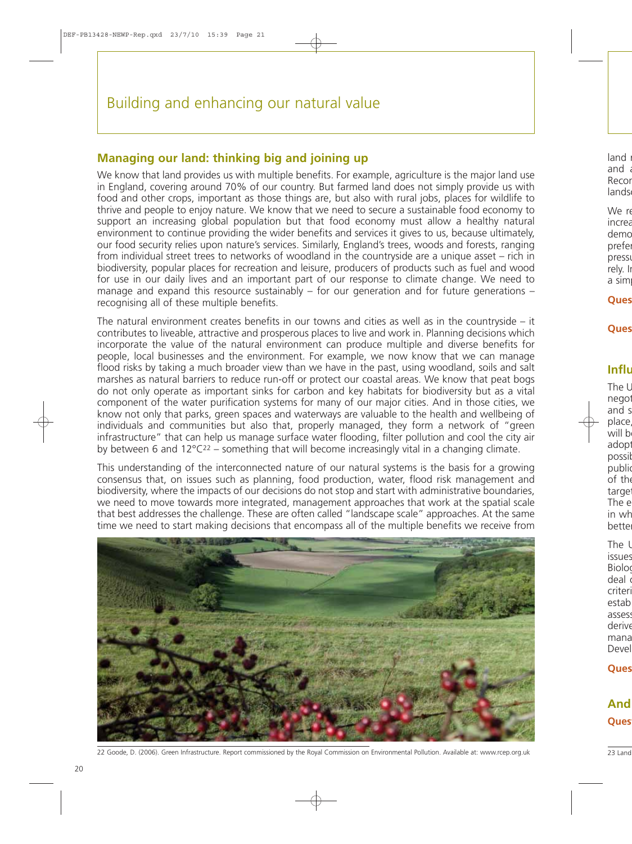### **Managing our land: thinking big and joining up**

We know that land provides us with multiple benefits. For example, agriculture is the major land use in England, covering around 70% of our country. But farmed land does not simply provide us with food and other crops, important as those things are, but also with rural jobs, places for wildlife to thrive and people to enjoy nature. We know that we need to secure a sustainable food economy to support an increasing global population but that food economy must allow a healthy natural environment to continue providing the wider benefits and services it gives to us, because ultimately, our food security relies upon nature's services. Similarly, England's trees, woods and forests, ranging from individual street trees to networks of woodland in the countryside are a unique asset – rich in biodiversity, popular places for recreation and leisure, producers of products such as fuel and wood for use in our daily lives and an important part of our response to climate change. We need to manage and expand this resource sustainably – for our generation and for future generations – recognising all of these multiple benefits.

The natural environment creates benefits in our towns and cities as well as in the countryside – it contributes to liveable, attractive and prosperous places to live and work in. Planning decisions which incorporate the value of the natural environment can produce multiple and diverse benefits for people, local businesses and the environment. For example, we now know that we can manage flood risks by taking a much broader view than we have in the past, using woodland, soils and salt marshes as natural barriers to reduce run-off or protect our coastal areas. We know that peat bogs do not only operate as important sinks for carbon and key habitats for biodiversity but as a vital component of the water purification systems for many of our major cities. And in those cities, we know not only that parks, green spaces and waterways are valuable to the health and wellbeing of individuals and communities but also that, properly managed, they form a network of "green infrastructure" that can help us manage surface water flooding, filter pollution and cool the city air by between 6 and  $12^{\circ}C^{22}$  – something that will become increasingly vital in a changing climate.

This understanding of the interconnected nature of our natural systems is the basis for a growing consensus that, on issues such as planning, food production, water, flood risk management and biodiversity, where the impacts of our decisions do not stop and start with administrative boundaries, we need to move towards more integrated, management approaches that work at the spatial scale that best addresses the challenge. These are often called "landscape scale" approaches. At the same time we need to start making decisions that encompass all of the multiple benefits we receive from



22 Goode, D. (2006). Green Infrastructure. Report commissioned by the Royal Commission on Environmental Pollution. Available at: [www.rcep.org.uk](http://www.rcep.org.uk)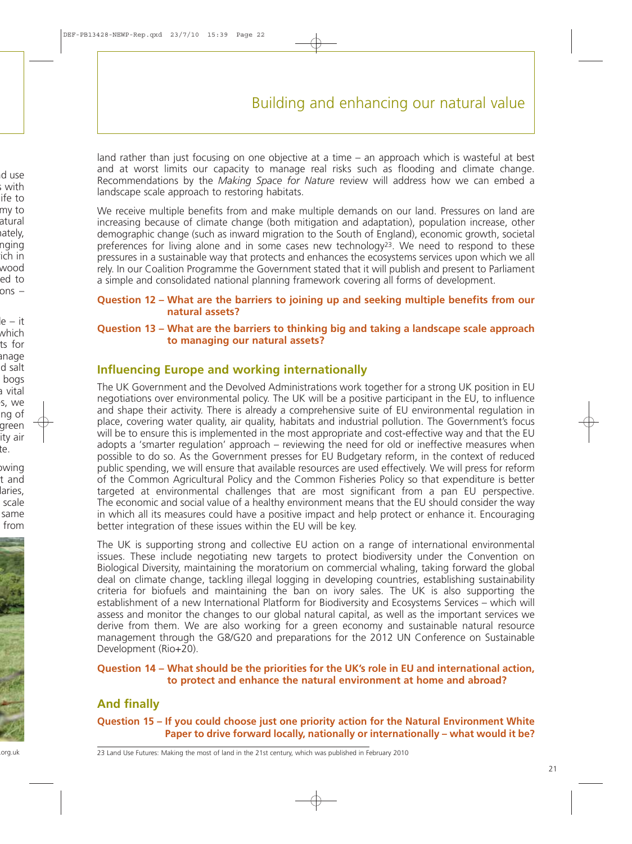land rather than just focusing on one objective at a time – an approach which is wasteful at best and at worst limits our capacity to manage real risks such as flooding and climate change. Recommendations by the *Making Space for Nature* review will address how we can embed a landscape scale approach to restoring habitats.

We receive multiple benefits from and make multiple demands on our land. Pressures on land are increasing because of climate change (both mitigation and adaptation), population increase, other demographic change (such as inward migration to the South of England), economic growth, societal preferences for living alone and in some cases new technology23. We need to respond to these pressures in a sustainable way that protects and enhances the ecosystems services upon which we all rely. In our Coalition Programme the Government stated that it will publish and present to Parliament a simple and consolidated national planning framework covering all forms of development.

#### **Question 12 – What are the barriers to joining up and seeking multiple benefits from our natural assets?**

#### **Question 13 – What are the barriers to thinking big and taking a landscape scale approach to managing our natural assets?**

### **Influencing Europe and working internationally**

The UK Government and the Devolved Administrations work together for a strong UK position in EU negotiations over environmental policy. The UK will be a positive participant in the EU, to influence and shape their activity. There is already a comprehensive suite of EU environmental regulation in place, covering water quality, air quality, habitats and industrial pollution. The Government's focus will be to ensure this is implemented in the most appropriate and cost-effective way and that the EU adopts a 'smarter regulation' approach – reviewing the need for old or ineffective measures when possible to do so. As the Government presses for EU Budgetary reform, in the context of reduced public spending, we will ensure that available resources are used effectively. We will press for reform of the Common Agricultural Policy and the Common Fisheries Policy so that expenditure is better targeted at environmental challenges that are most significant from a pan EU perspective. The economic and social value of a healthy environment means that the EU should consider the way in which all its measures could have a positive impact and help protect or enhance it. Encouraging better integration of these issues within the EU will be key.

The UK is supporting strong and collective EU action on a range of international environmental issues. These include negotiating new targets to protect biodiversity under the Convention on Biological Diversity, maintaining the moratorium on commercial whaling, taking forward the global deal on climate change, tackling illegal logging in developing countries, establishing sustainability criteria for biofuels and maintaining the ban on ivory sales. The UK is also supporting the establishment of a new International Platform for Biodiversity and Ecosystems Services – which will assess and monitor the changes to our global natural capital, as well as the important services we derive from them. We are also working for a green economy and sustainable natural resource management through the G8/G20 and preparations for the 2012 UN Conference on Sustainable Development (Rio+20).

#### **Question 14 – What should be the priorities for the UK's role in EU and international action, to protect and enhance the natural environment at home and abroad?**

### **And finally**

**Question 15 – If you could choose just one priority action for the Natural Environment White Paper to drive forward locally, nationally or internationally – what would it be?**